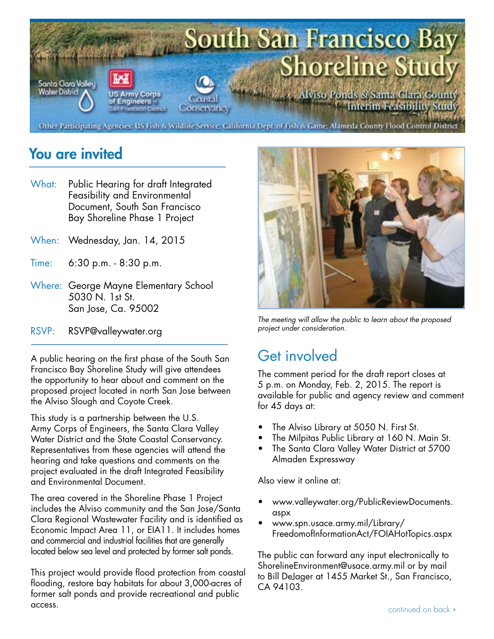

#### You are invited

- What: Public Hearing for draft Integrated Feasibility and Environmental Document, South San Francisco Bay Shoreline Phase 1 Project
- When: Wednesday, Jan. 14, 2015
- Time: 6:30 p.m. - 8:30 p.m.
- Where: George Mayne Elementary School 5030 N. 1st St. San Jose, Ca. 95002
- RSVP: RSVP@valleywater.org

A public hearing on the first phase of the South San Francisco Bay Shoreline Study will give attendees the opportunity to hear about and comment on the proposed project located in north San Jose between the Alviso Slough and Coyote Creek.

This study is a partnership between the U.S. Army Corps of Engineers, the Santa Clara Valley Water District and the State Coastal Conservancy. Representatives from these agencies will attend the hearing and take questions and comments on the project evaluated in the draft Integrated Feasibility and Environmental Document.

The area covered in the Shoreline Phase 1 Project includes the Alviso community and the San Jose/Santa Clara Regional Wastewater Facility and is identified as Economic Impact Area 11, or EIA11. It includes homes and commercial and industrial facilities that are generally located below sea level and protected by former salt ponds.

This project would provide flood protection from coastal flooding, restore bay habitats for about 3,000-acres of former salt ponds and provide recreational and public access.



*The meeting will allow the public to learn about the proposed project under consideration.* 

## Get involved

The comment period for the draft report closes at 5 p.m. on Monday, Feb. 2, 2015. The report is available for public and agency review and comment for 45 days at:

- The Alviso Library at 5050 N. First St.
- The Milpitas Public Library at 160 N. Main St.
- The Santa Clara Valley Water District at 5700 Almaden Expressway

Also view it online at:

- [www.valleywater.org/PublicReviewDocuments.](http://www.valleywater.org/PublicReviewDocuments.aspx) aspx
- www.spn.usace.army.mil/Library/ [FreedomofInformationAct/FOIAHotTopics.aspx](http://www.spn.usace.army.mil/Library/FreedomofInformationAct/FOIAHotTopics.aspx)

The public can forward any input electronically to ShorelineEnvironment@usace.army.mil or by mail to Bill DeJager at 1455 Market St., San Francisco, CA 94103.